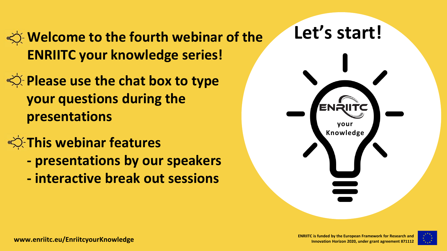**Welcome to the fourth webinar of the ENRIITC your knowledge series!**

- **Please use the chat box to type your questions during the presentations**
- **This webinar features** 
	- **- presentations by our speakers**
	- **- interactive break out sessions**



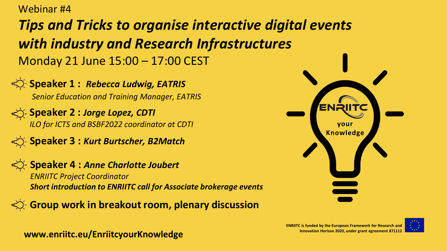Webinar #4

#### *Tips and Tricks to organise interactive digital events with industry and Research Infrastructures* Monday 21 June 15:00 – 17:00 CEST

**Speaker 1: Rebecca Ludwig, EATRIS** *Senior Education and Training Manager, EATRIS*

**Speaker 2 : Jorge Lopez, CDTI** 

*ILO for ICTS and BSBF2022 coordinator at CDTI*

**Speaker 3 : Kurt Burtscher, B2Match** 



**Speaker 4 : Anne Charlotte Joubert** 

*ENRIITC Project Coordinator Short introduction to ENRIITC call for Associate brokerage events*

**Group work in breakout room, plenary discussion** 





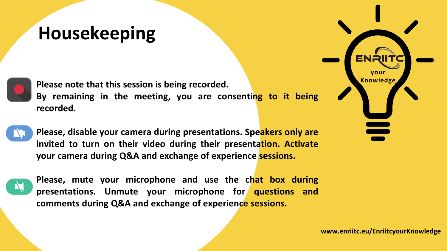### **Housekeeping**

**Please note that this session is being recorded. By remaining in the meeting, you are consenting to it being recorded.**



**Please, disable your camera during presentations. Speakers only are invited to turn on their video during their presentation. Activate your camera during Q&A and exchange of experience sessions.**



**Please, mute your microphone and use the chat box during presentations. Unmute your microphone for questions and comments during Q&A and exchange of experience sessions.**

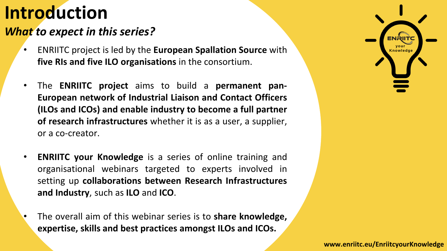#### *What to expect in this series?*

- ENRIITC project **Knowledge** is led by the **European Spallation Source** with **five RIs and five ILO organisations** in the consortium.
- The **ENRIITC project** aims to build a **permanent pan-European network of Industrial Liaison and Contact Officers (ILOs and ICOs) and enable industry to become a full partner of research infrastructures** whether it is as a user, a supplier, or a co-creator.
- **ENRIITC your Knowledge** is a series of online training and organisational webinars targeted to experts involved in setting up **collaborations between Research Infrastructures and Industry**, such as **ILO** and **ICO**.
- The overall aim of this webinar series is to **share knowledge, expertise, skills and best practices amongst ILOs and ICOs.**

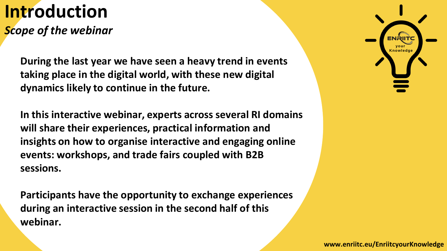*Scope of the webinar*

During the last year we have seen a heavy trend in events taking place in the digital world, with these new digital **LO** (**Industry Liaison Officers**), officially appointed by the dynamics likely to continue in the future.

In this interactive webinar, experts across several RI domains will share their experiences, practical information and in charge of dependences, process relations with all potential insights on how to organise interactive and engaging online events: workshops, and trade fairs coupled with B2B way for future synergies and collaborations between these synergies and collaborations between these synergies  $\mathcal{L}$ 

views on their role and key performance indicators. **Participants have the opportunity to exchange experiences during an interactive session in the second half of this webinar.**

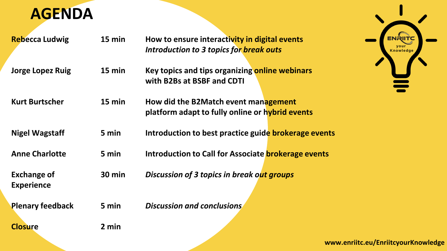

| <b>Rebecca Ludwig</b>   | 15 min   | How to ensure interactivity in digital events               |
|-------------------------|----------|-------------------------------------------------------------|
|                         |          | Introduction to 3 topics for break outs                     |
| Jorge Lopez Ruig        | 15 min   | Key topics and tips organizing online webinars              |
|                         |          | with B2Bs at BSBF and CDTI                                  |
| <b>Kurt Burtscher</b>   | $15$ min | How did the B2Match event management                        |
|                         |          | platform adapt to fully online or hybrid events             |
| <b>Nigel Wagstaff</b>   | 5 min    | Introduction to best practice guide <b>brokerage events</b> |
| <b>Anne Charlotte</b>   | 5 min    | Introduction to Call for Associate <b>brokerage events</b>  |
| <b>Exchange of</b>      | 30 min   | <b>Discussion of 3 topics in break out groups</b>           |
| <b>Experience</b>       |          |                                                             |
| <b>Plenary feedback</b> | 5 min    | <b>Discussion and conclusions</b>                           |
| <b>Closure</b>          | 2 min    |                                                             |

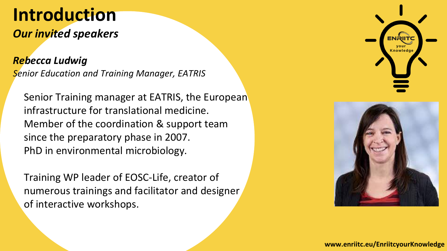#### *Our invited speakers*

*Rebecca Ludwig Senior Education and Training Manager, EATRIS*

Senior Training manager at EATRIS, the European infrastructure for translational medicine. Member of the coordination & support team since the preparatory phase in 2007. PhD in environmental microbiology.

Training WP leader of EOSC-Life, creator of numerous trainings and facilitator and designer of interactive workshops.



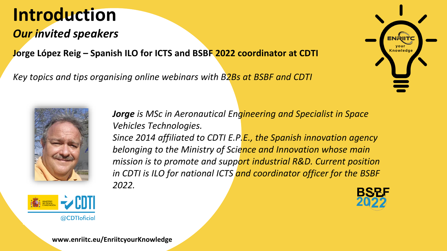#### *Our invited speakers*

**Knowledge Jorge López Reig – Spanish ILO for ICTS and BSBF 2022 coordinator at CDTI**

*Key topics and tips organising online webinars with B2Bs at BSBF and CDTI*







*Jorge is MSc in Aeronautical Engineering and Specialist in Space Vehicles Technologies. Since 2014 affiliated to CDTI E.P.E., the Spanish innovation agency belonging to the Ministry of Science and Innovation whose main mission is to promote and support industrial R&D. Current position in CDTI is ILO for national ICTS and coordinator officer for the BSBF 2022.*

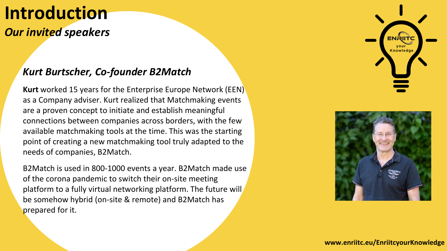#### *Our invited speakers*

#### *Kurt Burtscher, Co-founder B2Match*

**Kurt** worked 15 years for the Enterprise Europe Network (EEN) as a Company adviser. Kurt realized that Matchmaking events are a proven concept to initiate and establish meaningful connections between companies across borders, with the few available matchmaking tools at the time. This was the starting point of creating a new matchmaking tool truly adapted to the needs of companies, B2Match.

B2Match is used in 800-1000 events a year. B2Match made use of the corona pandemic to switch their on-site meeting platform to a fully virtual networking platform. The future will be somehow hybrid (on-site & remote) and B2Match has prepared for it.



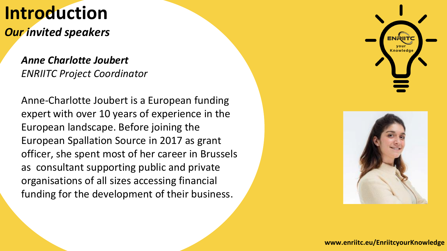*Our invited speakers*

*Anne Charlotte Joubert ENRIITC Project Coordinator*

Anne-Charlotte Joubert is a European funding expert with over 10 years of experience in the European landscape. Before joining the European Spallation Source in 2017 as grant officer, she spent most of her career in Brussels as consultant supporting public and private organisations of all sizes accessing financial funding for the development of their business.